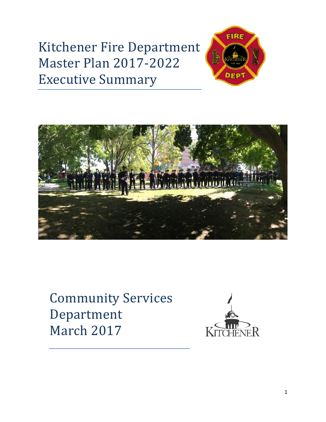# Kitchener Fire Department Master Plan 2017-2022 Executive Summary





Community Services Department March 2017

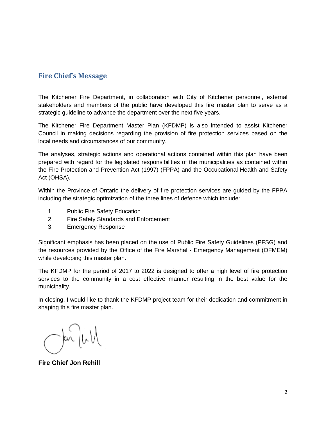# **Fire Chief's Message**

The Kitchener Fire Department, in collaboration with City of Kitchener personnel, external stakeholders and members of the public have developed this fire master plan to serve as a strategic guideline to advance the department over the next five years.

The Kitchener Fire Department Master Plan (KFDMP) is also intended to assist Kitchener Council in making decisions regarding the provision of fire protection services based on the local needs and circumstances of our community.

The analyses, strategic actions and operational actions contained within this plan have been prepared with regard for the legislated responsibilities of the municipalities as contained within the Fire Protection and Prevention Act (1997) (FPPA) and the Occupational Health and Safety Act (OHSA).

Within the Province of Ontario the delivery of fire protection services are guided by the FPPA including the strategic optimization of the three lines of defence which include:

- 1. Public Fire Safety Education
- 2. Fire Safety Standards and Enforcement
- 3. Emergency Response

Significant emphasis has been placed on the use of Public Fire Safety Guidelines (PFSG) and the resources provided by the Office of the Fire Marshal - Emergency Management (OFMEM) while developing this master plan.

The KFDMP for the period of 2017 to 2022 is designed to offer a high level of fire protection services to the community in a cost effective manner resulting in the best value for the municipality.

In closing, I would like to thank the KFDMP project team for their dedication and commitment in shaping this fire master plan.

 $\frac{1}{\alpha}$  or  $\frac{1}{\alpha}$ 

**Fire Chief Jon Rehill**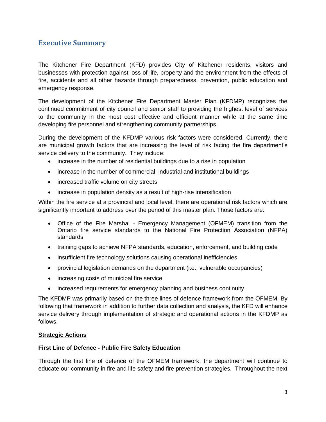# **Executive Summary**

The Kitchener Fire Department (KFD) provides City of Kitchener residents, visitors and businesses with protection against loss of life, property and the environment from the effects of fire, accidents and all other hazards through preparedness, prevention, public education and emergency response.

The development of the Kitchener Fire Department Master Plan (KFDMP) recognizes the continued commitment of city council and senior staff to providing the highest level of services to the community in the most cost effective and efficient manner while at the same time developing fire personnel and strengthening community partnerships.

During the development of the KFDMP various risk factors were considered. Currently, there are municipal growth factors that are increasing the level of risk facing the fire department's service delivery to the community. They include:

- increase in the number of residential buildings due to a rise in population
- increase in the number of commercial, industrial and institutional buildings
- increased traffic volume on city streets
- increase in population density as a result of high-rise intensification

Within the fire service at a provincial and local level, there are operational risk factors which are significantly important to address over the period of this master plan. Those factors are:

- Office of the Fire Marshal Emergency Management (OFMEM) transition from the Ontario fire service standards to the National Fire Protection Association (NFPA) standards
- training gaps to achieve NFPA standards, education, enforcement, and building code
- insufficient fire technology solutions causing operational inefficiencies
- provincial legislation demands on the department (i.e., vulnerable occupancies)
- increasing costs of municipal fire service
- increased requirements for emergency planning and business continuity

The KFDMP was primarily based on the three lines of defence framework from the OFMEM. By following that framework in addition to further data collection and analysis, the KFD will enhance service delivery through implementation of strategic and operational actions in the KFDMP as follows.

#### **Strategic Actions**

#### **First Line of Defence - Public Fire Safety Education**

Through the first line of defence of the OFMEM framework, the department will continue to educate our community in fire and life safety and fire prevention strategies. Throughout the next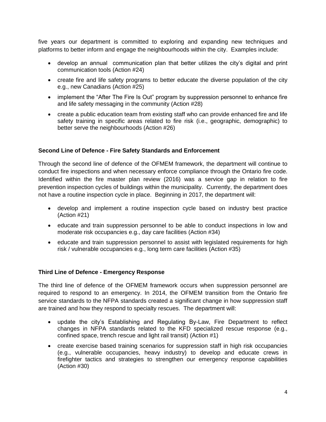five years our department is committed to exploring and expanding new techniques and platforms to better inform and engage the neighbourhoods within the city. Examples include:

- develop an annual communication plan that better utilizes the city's digital and print communication tools (Action #24)
- create fire and life safety programs to better educate the diverse population of the city e.g., new Canadians (Action #25)
- implement the "After The Fire Is Out" program by suppression personnel to enhance fire and life safety messaging in the community (Action #28)
- create a public education team from existing staff who can provide enhanced fire and life safety training in specific areas related to fire risk (i.e., geographic, demographic) to better serve the neighbourhoods (Action #26)

### **Second Line of Defence - Fire Safety Standards and Enforcement**

Through the second line of defence of the OFMEM framework, the department will continue to conduct fire inspections and when necessary enforce compliance through the Ontario fire code. Identified within the fire master plan review (2016) was a service gap in relation to fire prevention inspection cycles of buildings within the municipality. Currently, the department does not have a routine inspection cycle in place. Beginning in 2017, the department will:

- develop and implement a routine inspection cycle based on industry best practice (Action #21)
- educate and train suppression personnel to be able to conduct inspections in low and moderate risk occupancies e.g., day care facilities (Action #34)
- educate and train suppression personnel to assist with legislated requirements for high risk / vulnerable occupancies e.g., long term care facilities (Action #35)

#### **Third Line of Defence - Emergency Response**

The third line of defence of the OFMEM framework occurs when suppression personnel are required to respond to an emergency. In 2014, the OFMEM transition from the Ontario fire service standards to the NFPA standards created a significant change in how suppression staff are trained and how they respond to specialty rescues. The department will:

- update the city's Establishing and Regulating By-Law, Fire Department to reflect changes in NFPA standards related to the KFD specialized rescue response (e.g., confined space, trench rescue and light rail transit) (Action #1)
- create exercise based training scenarios for suppression staff in high risk occupancies (e.g., vulnerable occupancies, heavy industry) to develop and educate crews in firefighter tactics and strategies to strengthen our emergency response capabilities (Action #30)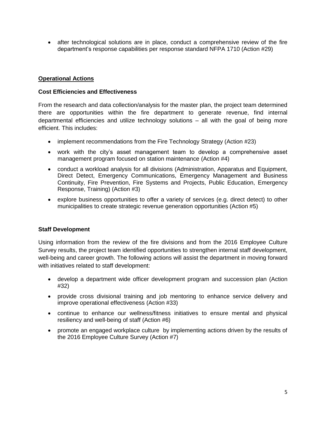after technological solutions are in place, conduct a comprehensive review of the fire department's response capabilities per response standard NFPA 1710 (Action #29)

#### **Operational Actions**

#### **Cost Efficiencies and Effectiveness**

From the research and data collection/analysis for the master plan, the project team determined there are opportunities within the fire department to generate revenue, find internal departmental efficiencies and utilize technology solutions – all with the goal of being more efficient. This includes:

- implement recommendations from the Fire Technology Strategy (Action #23)
- work with the city's asset management team to develop a comprehensive asset management program focused on station maintenance (Action #4)
- conduct a workload analysis for all divisions (Administration, Apparatus and Equipment, Direct Detect, Emergency Communications, Emergency Management and Business Continuity, Fire Prevention, Fire Systems and Projects, Public Education, Emergency Response, Training) (Action #3)
- explore business opportunities to offer a variety of services (e.g. direct detect) to other municipalities to create strategic revenue generation opportunities (Action #5)

#### **Staff Development**

Using information from the review of the fire divisions and from the 2016 Employee Culture Survey results, the project team identified opportunities to strengthen internal staff development, well-being and career growth. The following actions will assist the department in moving forward with initiatives related to staff development:

- develop a department wide officer development program and succession plan (Action #32)
- provide cross divisional training and job mentoring to enhance service delivery and improve operational effectiveness (Action #33)
- continue to enhance our wellness/fitness initiatives to ensure mental and physical resiliency and well-being of staff (Action #6)
- promote an engaged workplace culture by implementing actions driven by the results of the 2016 Employee Culture Survey (Action #7)